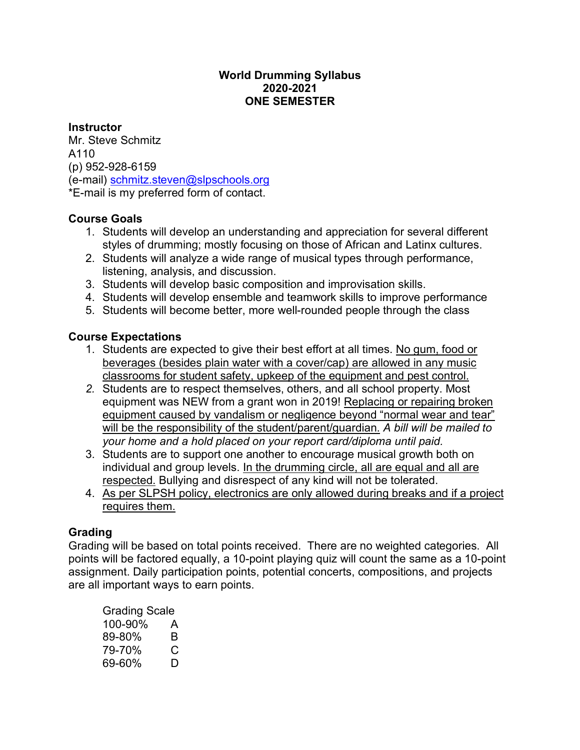#### **World Drumming Syllabus 2020-2021 ONE SEMESTER**

#### **Instructor**

Mr. Steve Schmitz A110 (p) 952-928-6159 (e-mail) schmitz.steven@slpschools.org \*E-mail is my preferred form of contact.

## **Course Goals**

- 1. Students will develop an understanding and appreciation for several different styles of drumming; mostly focusing on those of African and Latinx cultures.
- 2. Students will analyze a wide range of musical types through performance, listening, analysis, and discussion.
- 3. Students will develop basic composition and improvisation skills.
- 4. Students will develop ensemble and teamwork skills to improve performance
- 5. Students will become better, more well-rounded people through the class

# **Course Expectations**

- 1. Students are expected to give their best effort at all times. No gum, food or beverages (besides plain water with a cover/cap) are allowed in any music classrooms for student safety, upkeep of the equipment and pest control.
- *2.* Students are to respect themselves, others, and all school property. Most equipment was NEW from a grant won in 2019! Replacing or repairing broken equipment caused by vandalism or negligence beyond "normal wear and tear" will be the responsibility of the student/parent/guardian. *A bill will be mailed to your home and a hold placed on your report card/diploma until paid.*
- 3. Students are to support one another to encourage musical growth both on individual and group levels. In the drumming circle, all are equal and all are respected. Bullying and disrespect of any kind will not be tolerated.
- 4. As per SLPSH policy, electronics are only allowed during breaks and if a project requires them.

# **Grading**

Grading will be based on total points received. There are no weighted categories. All points will be factored equally, a 10-point playing quiz will count the same as a 10-point assignment. Daily participation points, potential concerts, compositions, and projects are all important ways to earn points.

| Grading Scale |   |
|---------------|---|
| 100-90%       | А |
| 89-80%        | R |
| 79-70%        | C |
| 69-60%        | D |